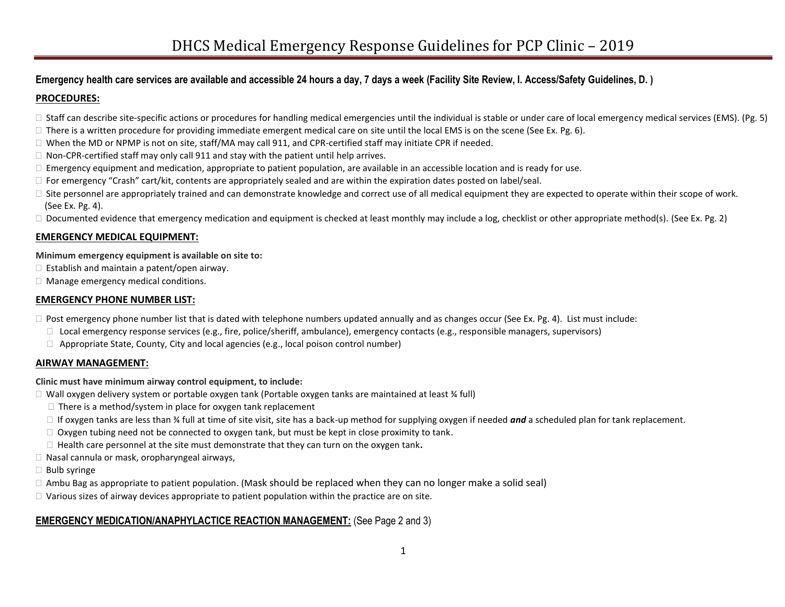## **Emergency health care services are available and accessible 24 hours a day, 7 days a week (Facility Site Review, I. Access/Safety Guidelines, D. )**

## **PROCEDURES:**

- $\Box$  Staff can describe site-specific actions or procedures for handling medical emergencies until the individual is stable or under care of local emergency medical services (EMS). (Pg. 5)
- $\Box$  There is a written procedure for providing immediate emergent medical care on site until the local EMS is on the scene (See Ex. Pg. 6).
- $\Box$  When the MD or NPMP is not on site, staff/MA may call 911, and CPR-certified staff may initiate CPR if needed.
- $\Box$  Non-CPR-certified staff may only call 911 and stay with the patient until help arrives.
- $\Box$  Emergency equipment and medication, appropriate to patient population, are available in an accessible location and is ready for use.
- $\Box$  For emergency "Crash" cart/kit, contents are appropriately sealed and are within the expiration dates posted on label/seal.
- $\Box$  Site personnel are appropriately trained and can demonstrate knowledge and correct use of all medical equipment they are expected to operate within their scope of work. (See Ex. Pg. 4).
- $\Box$  Documented evidence that emergency medication and equipment is checked at least monthly may include a log, checklist or other appropriate method(s). (See Ex. Pg. 2)

## **EMERGENCY MEDICAL EQUIPMENT:**

## **Minimum emergency equipment is available on site to:**

- $\Box$  Establish and maintain a patent/open airway.
- □ Manage emergency medical conditions.

## **EMERGENCY PHONE NUMBER LIST:**

- $\Box$  Post emergency phone number list that is dated with telephone numbers updated annually and as changes occur (See Ex. Pg. 4). List must include:
	- $\Box$  Local emergency response services (e.g., fire, police/sheriff, ambulance), emergency contacts (e.g., responsible managers, supervisors)
	- $\Box$  Appropriate State, County, City and local agencies (e.g., local poison control number)

## **AIRWAY MANAGEMENT:**

## **Clinic must have minimum airway control equipment, to include:**

- □ Wall oxygen delivery system or portable oxygen tank (Portable oxygen tanks are maintained at least ¾ full)
	- $\Box$  There is a method/system in place for oxygen tank replacement
	- If oxygen tanks are less than ¾ full at time of site visit, site has a back-up method for supplying oxygen if needed *and* a scheduled plan for tank replacement.
	- $\Box$  Oxygen tubing need not be connected to oxygen tank, but must be kept in close proximity to tank.
	- Health care personnel at the site must demonstrate that they can turn on the oxygen tank**.**
- $\Box$  Nasal cannula or mask, oropharyngeal airways,
- $\Box$  Bulb syringe
- $\Box$  Ambu Bag as appropriate to patient population. (Mask should be replaced when they can no longer make a solid seal)
- $\Box$  Various sizes of airway devices appropriate to patient population within the practice are on site.

# **EMERGENCY MEDICATION/ANAPHYLACTICE REACTION MANAGEMENT:** (See Page 2 and 3)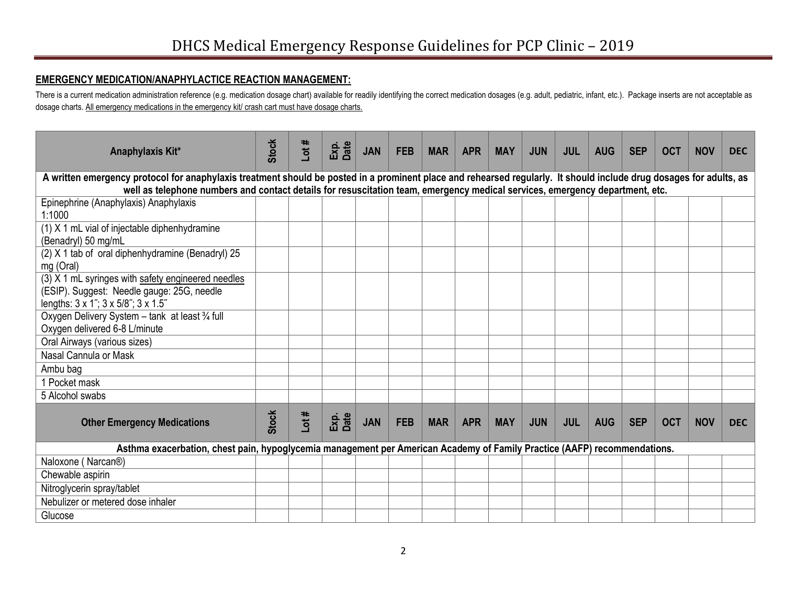# **EMERGENCY MEDICATION/ANAPHYLACTICE REACTION MANAGEMENT:**

There is a current medication administration reference (e.g. medication dosage chart) available for readily identifying the correct medication dosages (e.g. adult, pediatric, infant, etc.). Package inserts are not acceptab dosage charts. All emergency medications in the emergency kit/ crash cart must have dosage charts.

| Anaphylaxis Kit*                                                                                                                                                                                                                                                                                    | <b>Stock</b> | Lot# | Exp.<br>Date | <b>JAN</b> | <b>FEB</b> | <b>MAR</b> | <b>APR</b> | <b>MAY</b> | <b>JUN</b> | <b>JUL</b> | <b>AUG</b> | <b>SEP</b> | <b>OCT</b> | <b>NOV</b> | <b>DEC</b> |
|-----------------------------------------------------------------------------------------------------------------------------------------------------------------------------------------------------------------------------------------------------------------------------------------------------|--------------|------|--------------|------------|------------|------------|------------|------------|------------|------------|------------|------------|------------|------------|------------|
| A written emergency protocol for anaphylaxis treatment should be posted in a prominent place and rehearsed regularly. It should include drug dosages for adults, as<br>well as telephone numbers and contact details for resuscitation team, emergency medical services, emergency department, etc. |              |      |              |            |            |            |            |            |            |            |            |            |            |            |            |
| Epinephrine (Anaphylaxis) Anaphylaxis                                                                                                                                                                                                                                                               |              |      |              |            |            |            |            |            |            |            |            |            |            |            |            |
| 1:1000                                                                                                                                                                                                                                                                                              |              |      |              |            |            |            |            |            |            |            |            |            |            |            |            |
| (1) X 1 mL vial of injectable diphenhydramine                                                                                                                                                                                                                                                       |              |      |              |            |            |            |            |            |            |            |            |            |            |            |            |
| (Benadryl) 50 mg/mL                                                                                                                                                                                                                                                                                 |              |      |              |            |            |            |            |            |            |            |            |            |            |            |            |
| (2) X 1 tab of oral diphenhydramine (Benadryl) 25                                                                                                                                                                                                                                                   |              |      |              |            |            |            |            |            |            |            |            |            |            |            |            |
| mg (Oral)                                                                                                                                                                                                                                                                                           |              |      |              |            |            |            |            |            |            |            |            |            |            |            |            |
| (3) X 1 mL syringes with safety engineered needles                                                                                                                                                                                                                                                  |              |      |              |            |            |            |            |            |            |            |            |            |            |            |            |
| (ESIP). Suggest: Needle gauge: 25G, needle                                                                                                                                                                                                                                                          |              |      |              |            |            |            |            |            |            |            |            |            |            |            |            |
| lengths: 3 x 1"; 3 x 5/8"; 3 x 1.5"                                                                                                                                                                                                                                                                 |              |      |              |            |            |            |            |            |            |            |            |            |            |            |            |
| Oxygen Delivery System - tank at least 3/4 full<br>Oxygen delivered 6-8 L/minute                                                                                                                                                                                                                    |              |      |              |            |            |            |            |            |            |            |            |            |            |            |            |
| Oral Airways (various sizes)                                                                                                                                                                                                                                                                        |              |      |              |            |            |            |            |            |            |            |            |            |            |            |            |
| Nasal Cannula or Mask                                                                                                                                                                                                                                                                               |              |      |              |            |            |            |            |            |            |            |            |            |            |            |            |
| Ambu bag                                                                                                                                                                                                                                                                                            |              |      |              |            |            |            |            |            |            |            |            |            |            |            |            |
| 1 Pocket mask                                                                                                                                                                                                                                                                                       |              |      |              |            |            |            |            |            |            |            |            |            |            |            |            |
| 5 Alcohol swabs                                                                                                                                                                                                                                                                                     |              |      |              |            |            |            |            |            |            |            |            |            |            |            |            |
|                                                                                                                                                                                                                                                                                                     |              |      |              |            |            |            |            |            |            |            |            |            |            |            |            |
| <b>Other Emergency Medications</b>                                                                                                                                                                                                                                                                  | <b>Stock</b> | Lot# | Exp.<br>Date | <b>JAN</b> | <b>FEB</b> | <b>MAR</b> | <b>APR</b> | <b>MAY</b> | <b>JUN</b> | <b>JUL</b> | <b>AUG</b> | <b>SEP</b> | <b>OCT</b> | <b>NOV</b> | <b>DEC</b> |
| Asthma exacerbation, chest pain, hypoglycemia management per American Academy of Family Practice (AAFP) recommendations.                                                                                                                                                                            |              |      |              |            |            |            |            |            |            |            |            |            |            |            |            |
| Naloxone (Narcan®)                                                                                                                                                                                                                                                                                  |              |      |              |            |            |            |            |            |            |            |            |            |            |            |            |
| Chewable aspirin                                                                                                                                                                                                                                                                                    |              |      |              |            |            |            |            |            |            |            |            |            |            |            |            |
| Nitroglycerin spray/tablet                                                                                                                                                                                                                                                                          |              |      |              |            |            |            |            |            |            |            |            |            |            |            |            |
| Nebulizer or metered dose inhaler                                                                                                                                                                                                                                                                   |              |      |              |            |            |            |            |            |            |            |            |            |            |            |            |
| Glucose                                                                                                                                                                                                                                                                                             |              |      |              |            |            |            |            |            |            |            |            |            |            |            |            |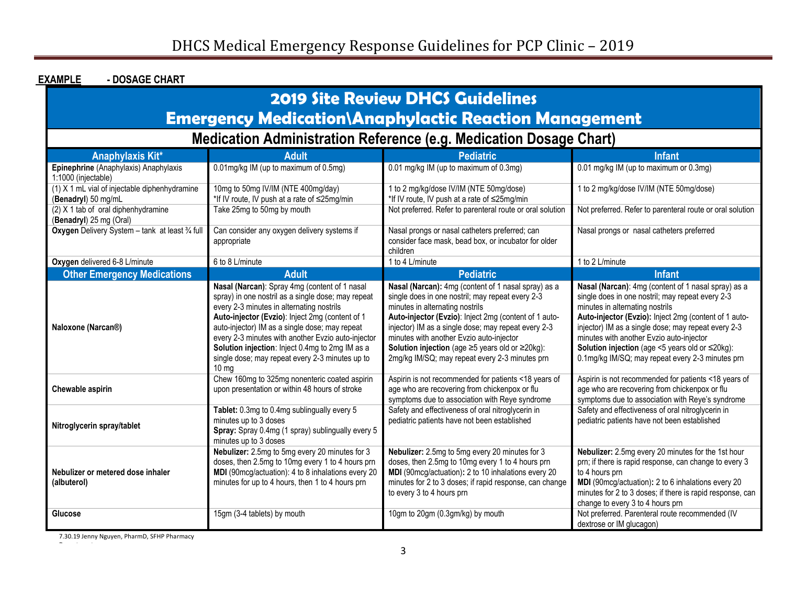| <b>EXAMPLE</b><br>- DOSAGE CHART                                                                        |                                                                                                                                                                                                                                                                                                                                                                                                                                       |                                                                                                                                                                                                                                                                                                                                                                                                                                |                                                                                                                                                                                                                                                                                                                                                                                                                                  |  |  |  |  |  |  |  |
|---------------------------------------------------------------------------------------------------------|---------------------------------------------------------------------------------------------------------------------------------------------------------------------------------------------------------------------------------------------------------------------------------------------------------------------------------------------------------------------------------------------------------------------------------------|--------------------------------------------------------------------------------------------------------------------------------------------------------------------------------------------------------------------------------------------------------------------------------------------------------------------------------------------------------------------------------------------------------------------------------|----------------------------------------------------------------------------------------------------------------------------------------------------------------------------------------------------------------------------------------------------------------------------------------------------------------------------------------------------------------------------------------------------------------------------------|--|--|--|--|--|--|--|
| <b>2019 Site Review DHCS Guidelines</b><br><b>Emergency Medication\Anaphylactic Reaction Management</b> |                                                                                                                                                                                                                                                                                                                                                                                                                                       |                                                                                                                                                                                                                                                                                                                                                                                                                                |                                                                                                                                                                                                                                                                                                                                                                                                                                  |  |  |  |  |  |  |  |
| Medication Administration Reference (e.g. Medication Dosage Chart)                                      |                                                                                                                                                                                                                                                                                                                                                                                                                                       |                                                                                                                                                                                                                                                                                                                                                                                                                                |                                                                                                                                                                                                                                                                                                                                                                                                                                  |  |  |  |  |  |  |  |
| Anaphylaxis Kit*                                                                                        | Adult                                                                                                                                                                                                                                                                                                                                                                                                                                 | <b>Pediatric</b>                                                                                                                                                                                                                                                                                                                                                                                                               | <b>Infant</b>                                                                                                                                                                                                                                                                                                                                                                                                                    |  |  |  |  |  |  |  |
| Epinephrine (Anaphylaxis) Anaphylaxis<br>1:1000 (injectable)                                            | 0.01mg/kg IM (up to maximum of 0.5mg)                                                                                                                                                                                                                                                                                                                                                                                                 | 0.01 mg/kg IM (up to maximum of 0.3mg)                                                                                                                                                                                                                                                                                                                                                                                         | 0.01 mg/kg IM (up to maximum or 0.3mg)                                                                                                                                                                                                                                                                                                                                                                                           |  |  |  |  |  |  |  |
| (1) X 1 mL vial of injectable diphenhydramine<br>(Benadryl) 50 mg/mL                                    | 10mg to 50mg IV/IM (NTE 400mg/day)<br>*If IV route, IV push at a rate of ≤25mg/min                                                                                                                                                                                                                                                                                                                                                    | 1 to 2 mg/kg/dose IV/IM (NTE 50mg/dose)<br>*If IV route, IV push at a rate of ≤25mg/min                                                                                                                                                                                                                                                                                                                                        | 1 to 2 mg/kg/dose IV/IM (NTE 50mg/dose)                                                                                                                                                                                                                                                                                                                                                                                          |  |  |  |  |  |  |  |
| (2) X 1 tab of oral diphenhydramine<br>(Benadryl) 25 mg (Oral)                                          | Take 25mg to 50mg by mouth                                                                                                                                                                                                                                                                                                                                                                                                            | Not preferred. Refer to parenteral route or oral solution                                                                                                                                                                                                                                                                                                                                                                      | Not preferred. Refer to parenteral route or oral solution                                                                                                                                                                                                                                                                                                                                                                        |  |  |  |  |  |  |  |
| Oxygen Delivery System - tank at least 3/4 full                                                         | Can consider any oxygen delivery systems if<br>appropriate                                                                                                                                                                                                                                                                                                                                                                            | Nasal prongs or nasal catheters preferred; can<br>consider face mask, bead box, or incubator for older<br>children                                                                                                                                                                                                                                                                                                             | Nasal prongs or nasal catheters preferred                                                                                                                                                                                                                                                                                                                                                                                        |  |  |  |  |  |  |  |
| Oxygen delivered 6-8 L/minute                                                                           | 6 to 8 L/minute                                                                                                                                                                                                                                                                                                                                                                                                                       | 1 to 4 L/minute                                                                                                                                                                                                                                                                                                                                                                                                                | 1 to 2 L/minute                                                                                                                                                                                                                                                                                                                                                                                                                  |  |  |  |  |  |  |  |
| <b>Other Emergency Medications</b>                                                                      | <b>Adult</b>                                                                                                                                                                                                                                                                                                                                                                                                                          | <b>Pediatric</b>                                                                                                                                                                                                                                                                                                                                                                                                               | <b>Infant</b>                                                                                                                                                                                                                                                                                                                                                                                                                    |  |  |  |  |  |  |  |
| Naloxone (Narcan®)                                                                                      | Nasal (Narcan): Spray 4mg (content of 1 nasal<br>spray) in one nostril as a single dose; may repeat<br>every 2-3 minutes in alternating nostrils<br>Auto-injector (Evzio): Inject 2mg (content of 1<br>auto-injector) IM as a single dose; may repeat<br>every 2-3 minutes with another Evzio auto-injector<br>Solution injection: Inject 0.4mg to 2mg IM as a<br>single dose; may repeat every 2-3 minutes up to<br>10 <sub>mg</sub> | Nasal (Narcan): 4mg (content of 1 nasal spray) as a<br>single does in one nostril; may repeat every 2-3<br>minutes in alternating nostrils<br>Auto-injector (Evzio): Inject 2mg (content of 1 auto-<br>injector) IM as a single dose; may repeat every 2-3<br>minutes with another Evzio auto-injector<br><b>Solution injection</b> (age $\geq$ 5 years old or $\geq$ 20kg):<br>2mg/kg IM/SQ; may repeat every 2-3 minutes prn | Nasal (Narcan): 4mg (content of 1 nasal spray) as a<br>single does in one nostril; may repeat every 2-3<br>minutes in alternating nostrils<br>Auto-injector (Evzio): Inject 2mg (content of 1 auto-<br>injector) IM as a single dose; may repeat every 2-3<br>minutes with another Evzio auto-injector<br><b>Solution injection</b> (age $\leq$ 5 years old or $\leq$ 20kg):<br>0.1mg/kg IM/SQ; may repeat every 2-3 minutes prn |  |  |  |  |  |  |  |
| Chewable aspirin                                                                                        | Chew 160mg to 325mg nonenteric coated aspirin<br>upon presentation or within 48 hours of stroke                                                                                                                                                                                                                                                                                                                                       | Aspirin is not recommended for patients <18 years of<br>age who are recovering from chickenpox or flu<br>symptoms due to association with Reye syndrome                                                                                                                                                                                                                                                                        | Aspirin is not recommended for patients <18 years of<br>age who are recovering from chickenpox or flu<br>symptoms due to association with Reye's syndrome                                                                                                                                                                                                                                                                        |  |  |  |  |  |  |  |
| Nitroglycerin spray/tablet                                                                              | Tablet: 0.3mg to 0.4mg sublingually every 5<br>minutes up to 3 doses<br>Spray: Spray 0.4mg (1 spray) sublingually every 5<br>minutes up to 3 doses                                                                                                                                                                                                                                                                                    | Safety and effectiveness of oral nitroglycerin in<br>pediatric patients have not been established                                                                                                                                                                                                                                                                                                                              | Safety and effectiveness of oral nitroglycerin in<br>pediatric patients have not been established                                                                                                                                                                                                                                                                                                                                |  |  |  |  |  |  |  |
| Nebulizer or metered dose inhaler<br>(albuterol)                                                        | Nebulizer: 2.5mg to 5mg every 20 minutes for 3<br>doses, then 2.5mg to 10mg every 1 to 4 hours prn<br>MDI (90mcg/actuation): 4 to 8 inhalations every 20<br>minutes for up to 4 hours, then 1 to 4 hours prn                                                                                                                                                                                                                          | Nebulizer: 2.5mg to 5mg every 20 minutes for 3<br>doses, then 2.5mg to 10mg every 1 to 4 hours prn<br>MDI (90mcg/actuation): 2 to 10 inhalations every 20<br>minutes for 2 to 3 doses; if rapid response, can change<br>to every 3 to 4 hours prn                                                                                                                                                                              | Nebulizer: 2.5mg every 20 minutes for the 1st hour<br>prn; if there is rapid response, can change to every 3<br>to 4 hours prn<br>MDI (90mcg/actuation): 2 to 6 inhalations every 20<br>minutes for 2 to 3 doses; if there is rapid response, can<br>change to every 3 to 4 hours prn                                                                                                                                            |  |  |  |  |  |  |  |
| Glucose                                                                                                 | 15gm (3-4 tablets) by mouth                                                                                                                                                                                                                                                                                                                                                                                                           | 10gm to 20gm (0.3gm/kg) by mouth                                                                                                                                                                                                                                                                                                                                                                                               | Not preferred. Parenteral route recommended (IV<br>dextrose or IM glucagon)                                                                                                                                                                                                                                                                                                                                                      |  |  |  |  |  |  |  |

7.30.19 Jenny Nguyen, PharmD, SFHP Pharmacy

Department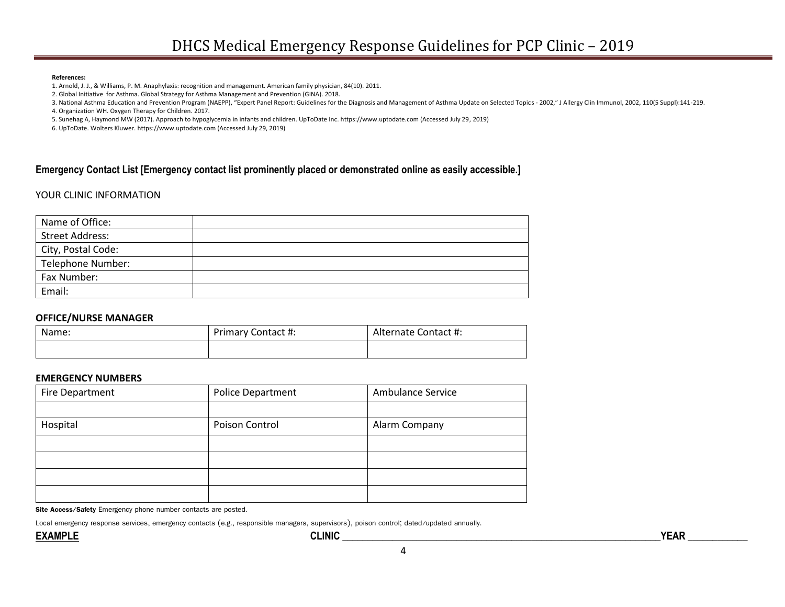#### **References:**

1. Arnold, J. J., & Williams, P. M. Anaphylaxis: recognition and management. American family physician, 84(10). 2011.

2. Global Initiative for Asthma. Global Strategy for Asthma Management and Prevention (GINA). 2018.

3. National Asthma Education and Prevention Program (NAEPP), "Expert Panel Report: Guidelines for the Diagnosis and Management of Asthma Update on Selected Topics - 2002," J Allergy Clin Immunol, 2002, 110(5 Suppl):141-219.

4. Organization WH. Oxygen Therapy for Children. 2017.

5. Sunehag A, Haymond MW (2017). Approach to hypoglycemia in infants and children. UpToDate Inc. https://www.uptodate.com (Accessed July 29, 2019)

6. UpToDate. Wolters Kluwer. https://www.uptodate.com (Accessed July 29, 2019)

## **Emergency Contact List [Emergency contact list prominently placed or demonstrated online as easily accessible.]**

## YOUR CLINIC INFORMATION

| Name of Office:        |  |
|------------------------|--|
| <b>Street Address:</b> |  |
| City, Postal Code:     |  |
| Telephone Number:      |  |
| Fax Number:            |  |
| Email:                 |  |

## **OFFICE/NURSE MANAGER**

| Name: | Primary Contact #: | Alternate Contact #: |  |  |
|-------|--------------------|----------------------|--|--|
|       |                    |                      |  |  |

### **EMERGENCY NUMBERS**

| Fire Department | Police Department | Ambulance Service |
|-----------------|-------------------|-------------------|
|                 |                   |                   |
| Hospital        | Poison Control    | Alarm Company     |
|                 |                   |                   |
|                 |                   |                   |
|                 |                   |                   |
|                 |                   |                   |

**Site Access/Safety** Emergency phone number contacts are posted.

Local emergency response services, emergency contacts (e.g., responsible managers, supervisors), poison control; dated/updated annually.

4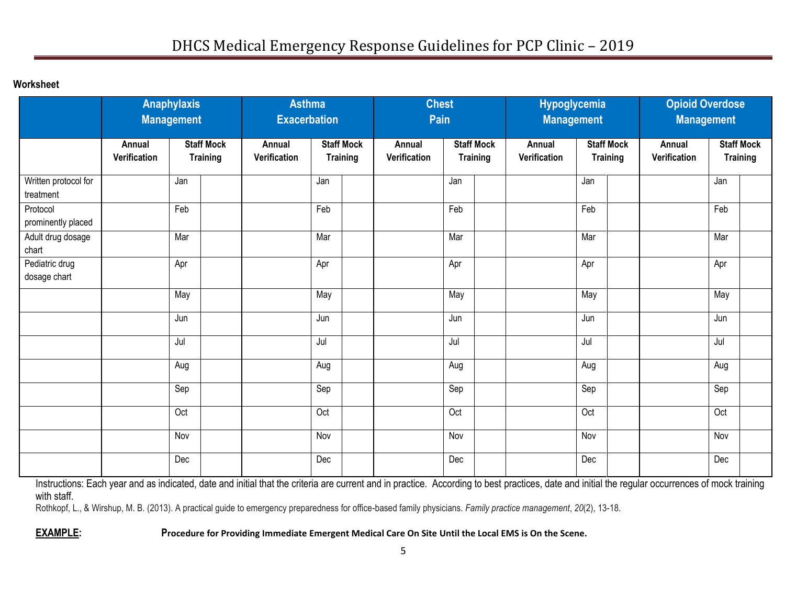**Worksheet** 

|                                   | <b>Anaphylaxis</b><br><b>Management</b> |                                      | <b>Asthma</b><br><b>Exacerbation</b> |                                                                |     | <b>Chest</b><br>Pain   |                                      |     | <b>Hypoglycemia</b><br><b>Management</b> |                                      |     | <b>Opioid Overdose</b><br><b>Management</b> |                                      |     |  |
|-----------------------------------|-----------------------------------------|--------------------------------------|--------------------------------------|----------------------------------------------------------------|-----|------------------------|--------------------------------------|-----|------------------------------------------|--------------------------------------|-----|---------------------------------------------|--------------------------------------|-----|--|
|                                   | Annual<br>Verification                  | <b>Staff Mock</b><br><b>Training</b> |                                      | <b>Staff Mock</b><br>Annual<br>Verification<br><b>Training</b> |     | Annual<br>Verification | <b>Staff Mock</b><br><b>Training</b> |     | Annual<br>Verification                   | <b>Staff Mock</b><br><b>Training</b> |     | Annual<br>Verification                      | <b>Staff Mock</b><br><b>Training</b> |     |  |
| Written protocol for<br>treatment |                                         | Jan                                  |                                      |                                                                | Jan |                        |                                      | Jan |                                          |                                      | Jan |                                             |                                      | Jan |  |
| Protocol<br>prominently placed    |                                         | Feb                                  |                                      |                                                                | Feb |                        |                                      | Feb |                                          |                                      | Feb |                                             |                                      | Feb |  |
| Adult drug dosage<br>chart        |                                         | Mar                                  |                                      |                                                                | Mar |                        |                                      | Mar |                                          |                                      | Mar |                                             |                                      | Mar |  |
| Pediatric drug<br>dosage chart    |                                         | Apr                                  |                                      |                                                                | Apr |                        |                                      | Apr |                                          |                                      | Apr |                                             |                                      | Apr |  |
|                                   |                                         | May                                  |                                      |                                                                | May |                        |                                      | May |                                          |                                      | May |                                             |                                      | May |  |
|                                   |                                         | Jun                                  |                                      |                                                                | Jun |                        |                                      | Jun |                                          |                                      | Jun |                                             |                                      | Jun |  |
|                                   |                                         | Jul                                  |                                      |                                                                | Jul |                        |                                      | Jul |                                          |                                      | Jul |                                             |                                      | Jul |  |
|                                   |                                         | Aug                                  |                                      |                                                                | Aug |                        |                                      | Aug |                                          |                                      | Aug |                                             |                                      | Aug |  |
|                                   |                                         | Sep                                  |                                      |                                                                | Sep |                        |                                      | Sep |                                          |                                      | Sep |                                             |                                      | Sep |  |
|                                   |                                         | Oct                                  |                                      |                                                                | Oct |                        |                                      | Oct |                                          |                                      | Oct |                                             |                                      | Oct |  |
|                                   |                                         | Nov                                  |                                      |                                                                | Nov |                        |                                      | Nov |                                          |                                      | Nov |                                             |                                      | Nov |  |
|                                   |                                         | Dec                                  |                                      |                                                                | Dec |                        |                                      | Dec |                                          |                                      | Dec |                                             |                                      | Dec |  |

Instructions: Each year and as indicated, date and initial that the criteria are current and in practice. According to best practices, date and initial the regular occurrences of mock training with staff.

Rothkopf, L., & Wirshup, M. B. (2013). A practical guide to emergency preparedness for office-based family physicians. *Family practice management*, *20*(2), 13-18.

**EXAMPLE: Procedure for Providing Immediate Emergent Medical Care On Site Until the Local EMS is On the Scene.**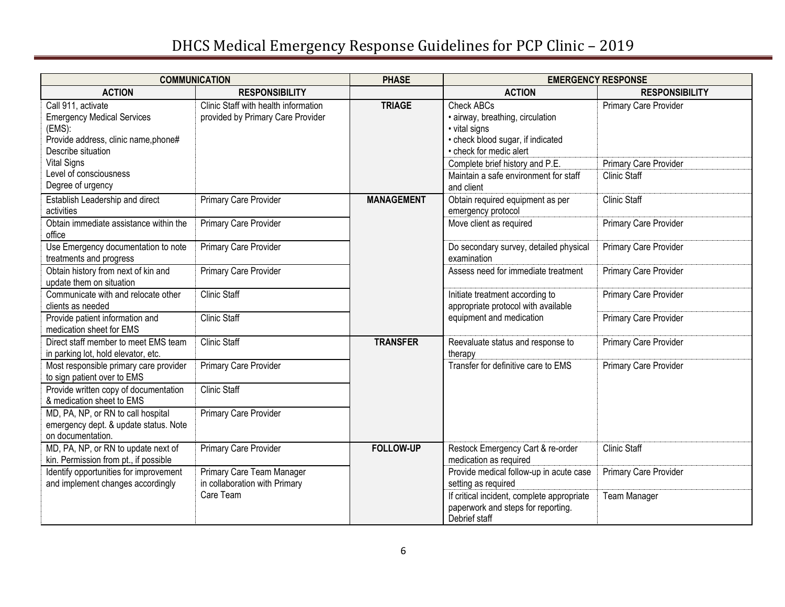# DHCS Medical Emergency Response Guidelines for PCP Clinic – 2019

|                                                                                                                                 | <b>COMMUNICATION</b>                                                      | <b>PHASE</b>      |                                                                                                                                        | <b>EMERGENCY RESPONSE</b>                    |  |  |
|---------------------------------------------------------------------------------------------------------------------------------|---------------------------------------------------------------------------|-------------------|----------------------------------------------------------------------------------------------------------------------------------------|----------------------------------------------|--|--|
| <b>ACTION</b>                                                                                                                   | <b>RESPONSIBILITY</b>                                                     |                   | <b>ACTION</b>                                                                                                                          | <b>RESPONSIBILITY</b>                        |  |  |
| Call 911, activate<br><b>Emergency Medical Services</b><br>(EMS):<br>Provide address, clinic name, phone#<br>Describe situation | Clinic Staff with health information<br>provided by Primary Care Provider | <b>TRIAGE</b>     | <b>Check ABCs</b><br>· airway, breathing, circulation<br>· vital signs<br>• check blood sugar, if indicated<br>• check for medic alert | Primary Care Provider                        |  |  |
| <b>Vital Signs</b><br>Level of consciousness<br>Degree of urgency                                                               |                                                                           |                   | Complete brief history and P.E.<br>Maintain a safe environment for staff                                                               | Primary Care Provider<br><b>Clinic Staff</b> |  |  |
| Establish Leadership and direct<br>activities                                                                                   | Primary Care Provider                                                     | <b>MANAGEMENT</b> | and client<br>Obtain required equipment as per<br>emergency protocol                                                                   | <b>Clinic Staff</b>                          |  |  |
| Obtain immediate assistance within the<br>office                                                                                | Primary Care Provider                                                     |                   | Move client as required                                                                                                                | Primary Care Provider                        |  |  |
| Use Emergency documentation to note<br>treatments and progress                                                                  | <b>Primary Care Provider</b>                                              |                   | Do secondary survey, detailed physical<br>examination                                                                                  | Primary Care Provider                        |  |  |
| Obtain history from next of kin and<br>update them on situation                                                                 | Primary Care Provider                                                     |                   | Assess need for immediate treatment                                                                                                    | Primary Care Provider                        |  |  |
| Communicate with and relocate other<br>clients as needed                                                                        | <b>Clinic Staff</b>                                                       |                   | Initiate treatment according to<br>appropriate protocol with available                                                                 | Primary Care Provider                        |  |  |
| Provide patient information and<br>medication sheet for EMS                                                                     | <b>Clinic Staff</b>                                                       |                   | equipment and medication                                                                                                               | Primary Care Provider                        |  |  |
| Direct staff member to meet EMS team<br>in parking lot, hold elevator, etc.                                                     | <b>Clinic Staff</b>                                                       | <b>TRANSFER</b>   | Reevaluate status and response to<br>therapy                                                                                           | Primary Care Provider                        |  |  |
| Most responsible primary care provider<br>to sign patient over to EMS                                                           | Primary Care Provider                                                     |                   | Transfer for definitive care to EMS                                                                                                    | Primary Care Provider                        |  |  |
| Provide written copy of documentation<br>& medication sheet to EMS                                                              | <b>Clinic Staff</b>                                                       |                   |                                                                                                                                        |                                              |  |  |
| MD, PA, NP, or RN to call hospital<br>emergency dept. & update status. Note<br>on documentation.                                | Primary Care Provider                                                     |                   |                                                                                                                                        |                                              |  |  |
| MD, PA, NP, or RN to update next of<br>kin. Permission from pt., if possible                                                    | Primary Care Provider                                                     | <b>FOLLOW-UP</b>  | Restock Emergency Cart & re-order<br>medication as required                                                                            | <b>Clinic Staff</b>                          |  |  |
| Identify opportunities for improvement<br>and implement changes accordingly                                                     | Primary Care Team Manager<br>in collaboration with Primary                |                   | Provide medical follow-up in acute case<br>setting as required                                                                         | Primary Care Provider                        |  |  |
|                                                                                                                                 | Care Team                                                                 |                   | If critical incident, complete appropriate<br>paperwork and steps for reporting.<br>Debrief staff                                      | <b>Team Manager</b>                          |  |  |